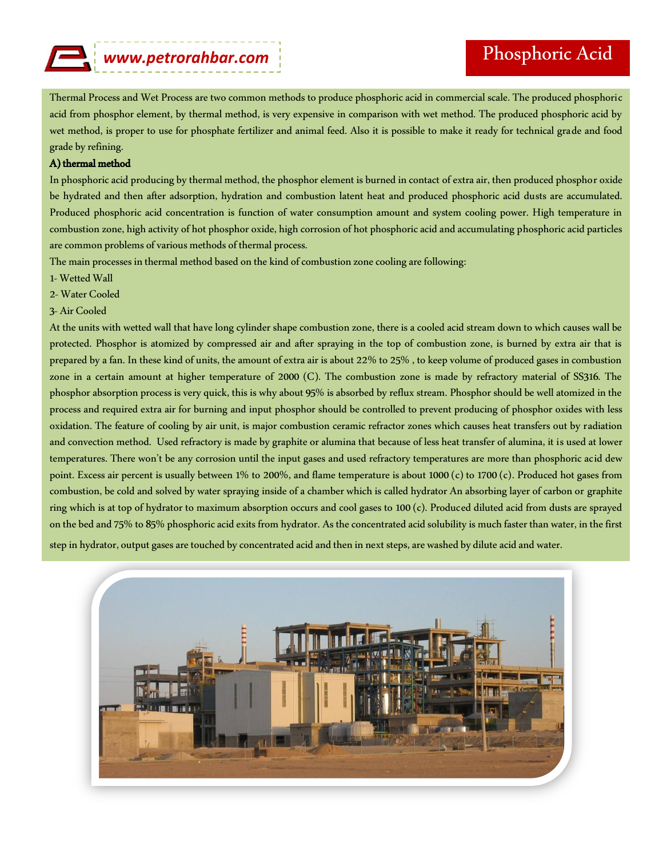## *www.petrorahbar.com*

Thermal Process and Wet Process are two common methods to produce phosphoric acid in commercial scale. The produced phosphoric acid from phosphor element, by thermal method, is very expensive in comparison with wet method. The produced phosphoric acid by wet method, is proper to use for phosphate fertilizer and animal feed. Also it is possible to make it ready for technical grade and food grade by refining.

## A) thermal method

In phosphoric acid producing by thermal method, the phosphor element is burned in contact of extra air, then produced phosphor oxide be hydrated and then after adsorption, hydration and combustion latent heat and produced phosphoric acid dusts are accumulated. Produced phosphoric acid concentration is function of water consumption amount and system cooling power. High temperature in combustion zone, high activity of hot phosphor oxide, high corrosion of hot phosphoric acid and accumulating phosphoric acid particles are common problems of various methods of thermal process.

The main processes in thermal method based on the kind of combustion zone cooling are following:

- 1-Wetted Wall
- 2-Water Cooled
- 3- Air Cooled

At the units with wetted wall that have long cylinder shape combustion zone, there is a cooled acid stream down to which causes wall be protected. Phosphor is atomized by compressed air and after spraying in the top of combustion zone, is burned by extra air that is prepared by a fan. In these kind of units, the amount of extra air is about 22% to 25% , to keep volume of produced gases in combustion zone in a certain amount at higher temperature of 2000 (C). The combustion zone is made by refractory material of SS316. The phosphor absorption process is very quick, this is why about 95% is absorbed by reflux stream. Phosphor should be well atomized in the process and required extra air for burning and input phosphor should be controlled to prevent producing of phosphor oxides with less oxidation. The feature of cooling by air unit, is major combustion ceramic refractor zones which causes heat transfers out by radiation and convection method. Used refractory is made by graphite or alumina that because of less heat transfer of alumina, it is used at lower temperatures. There won't be any corrosion until the input gases and used refractory temperatures are more than phosphoric acid dew point. Excess air percent is usually between 1% to 200%, and flame temperature is about 1000 (c) to 1700 (c). Produced hot gases from combustion, be cold and solved by water spraying inside of a chamber which is called hydrator An absorbing layer of carbon or graphite ring which is at top of hydrator to maximum absorption occurs and cool gases to 100 (c). Produced diluted acid from dusts are sprayed on the bed and 75% to 85% phosphoric acid exits from hydrator. As the concentrated acid solubility is much faster than water, in the first

step in hydrator, output gases are touched by concentrated acid and then in next steps, are washed by dilute acid and water.